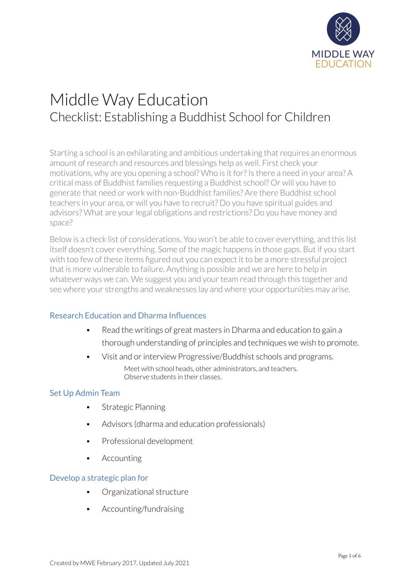

# Middle Way Education Checklist: Establishing a Buddhist School for Children

Starting a school is an exhilarating and ambitious undertaking that requires an enormous amount ofresearch and resources and blessings help as well. First check your motivations, why are you opening a school? Who is it for? Is there a need in your area? A critical mass of Buddhist families requesting a Buddhist school? Or will you have to generate that need or work with non-Buddhist families? Are there Buddhist school teachers in your area, or will you have to recruit? Do you have spiritual guides and advisors? What are your legal obligations and restrictions? Do you have money and space?

Below is a check list of considerations. You won't be able to cover everything, and this list itself doesn't cover everything. Some of the magic happens in those gaps. But if you start with too few of these items figured out you can expect it to be a more stressful project that is more vulnerable to failure. Anything is possible and we are here to help in whatever ways we can. We suggest you and your team read through this together and see where your strengths and weaknesses lay and where your opportunities may arise.

# Research Education and Dharma Influences

- Read the writings of great masters in Dharma and education to gain a thorough understanding of principles and techniques we wish to promote.
- Visit and or interview Progressive/Buddhist schools and programs. Meet with school heads, other administrators, and teachers. Observe students in their classes.

# Set Up Admin Team

- Strategic Planning
- Advisors (dharma and education professionals)
- Professional development
- **Accounting**

## Develop a strategic plan for

- Organizational structure
- Accounting/fundraising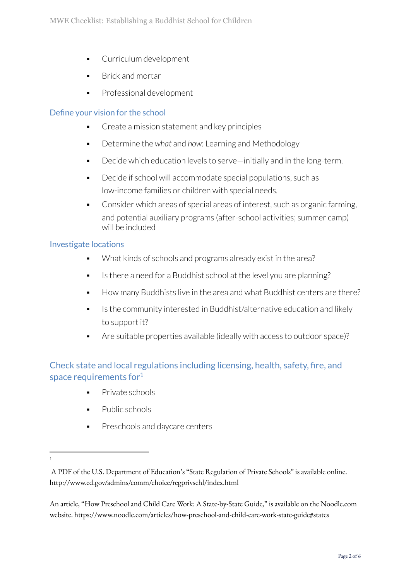- **•** Curriculum development
- **Brick and mortar**
- Professional development

## Define your vision for the school

- Create a mission statement and key principles
- Determine the *what* and *how*: Learning and Methodology
- Decide which education levels to serve—initially and in the long-term.
- Decide if school will accommodate special populations, such as low-income families or children with special needs.
- Consider which areas of special areas of interest, such as organic farming, and potential auxiliary programs (after-school activities; summer camp) will be included

## Investigate locations

- What kinds of schools and programs already exist in the area?
- Is there a need for a Buddhist school at the level you are planning?
- How many Buddhists live in the area and what Buddhist centers are there?
- Is the community interested in Buddhist/alternative education and likely to support it?
- Are suitable properties available (ideally with access to outdoor space)?

Check state and local regulations including licensing, health, safety, fire, and space requirements for $^1$ 

- Private schools
- Public schools
- Preschools and daycare centers

An article, "How Preschool and Child Care Work: A State-by-State Guide," is available on the Noodle.com website. https://www.noodle.com/articles/how-preschool-and-child-care-work-state-guide#states

<sup>1</sup>

A PDF of the U.S. Department of Education's "State Regulation of Private Schools" is available online. http://www.ed.gov/admins/comm/choice/regprivschl/index.html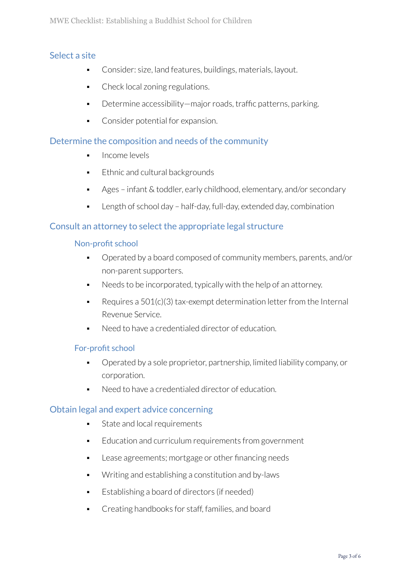# Select a site

- Consider: size, land features, buildings, materials, layout.
- Check local zoning regulations.
- Determine accessibility—major roads, traffic patterns, parking.
- Consider potential for expansion.

# Determine the composition and needs of the community

- Income levels
- Ethnic and cultural backgrounds
- Ages infant & toddler, early childhood, elementary, and/or secondary
- Length of school day half-day, full-day, extended day, combination

# Consult an attorney to select the appropriate legal structure

#### Non-profit school

- Operated by a board composed of community members, parents, and/or non-parent supporters.
- Needs to be incorporated, typically with the help of an attorney.
- Requires a  $501(c)(3)$  tax-exempt determination letter from the Internal Revenue Service.
- Need to have a credentialed director of education.

## For-profit school

- Operated by a sole proprietor, partnership, limited liability company, or corporation.
- Need to have a credentialed director of education.

# Obtain legal and expert advice concerning

- State and local requirements
- Education and curriculum requirements from government
- Lease agreements; mortgage or other financing needs
- Writing and establishing a constitution and by-laws
- Establishing a board of directors (if needed)
- Creating handbooks for staff, families, and board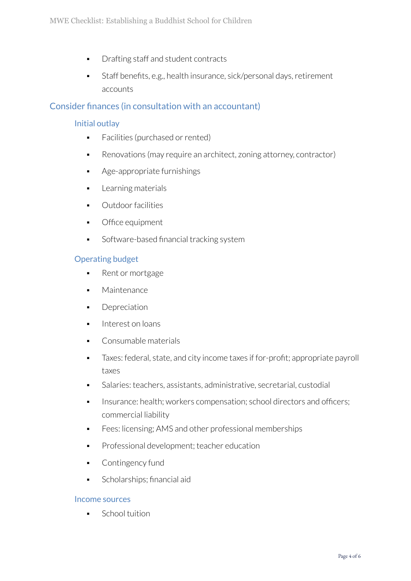- Drafting staff and student contracts
- Staff benefits, e.g., health insurance, sick/personal days, retirement accounts

# Consider finances (in consultation with an accountant)

# Initial outlay

- Facilities (purchased or rented)
- Renovations (may require an architect, zoning attorney, contractor)
- Age-appropriate furnishings
- Learning materials
- Outdoor facilities
- Office equipment
- Software-based financial tracking system

# Operating budget

- Rent or mortgage
- **■** Maintenance
- **•** Depreciation
- Interest on loans
- Consumable materials
- Taxes: federal, state, and city income taxes if for-profit; appropriate payroll taxes
- Salaries: teachers, assistants, administrative, secretarial, custodial
- **•** Insurance: health; workers compensation; school directors and officers; commercial liability
- Fees: licensing; AMS and other professional memberships
- **•** Professional development; teacher education
- Contingency fund
- Scholarships; financial aid

## Income sources

School tuition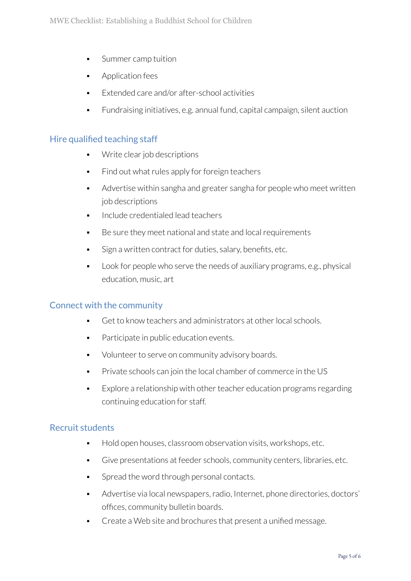- Summer camp tuition
- Application fees
- Extended care and/or after-school activities
- Eundraising initiatives, e.g. annual fund, capital campaign, silent auction

# Hire qualified teaching staff

- Write clear job descriptions
- Find out what rules apply for foreign teachers
- Advertise within sangha and greater sangha for people who meet written job descriptions
- Include credentialed lead teachers
- Be sure they meet national and state and local requirements
- Sign a written contract for duties, salary, benefits, etc.
- Look for people who serve the needs of auxiliary programs, e.g., physical education, music, art

# Connect with the community

- Get to know teachers and administrators at other local schools.
- Participate in public education events.
- Volunteer to serve on community advisory boards.
- Private schools can join the local chamber of commerce in the US
- $\blacksquare$  Explore a relationship with other teacher education programs regarding continuing education for staff.

# Recruit students

- Hold open houses, classroom observation visits, workshops, etc.
- Give presentations at feeder schools, community centers, libraries, etc.
- **•** Spread the word through personal contacts.
- Advertise via local newspapers, radio, Internet, phone directories, doctors' offices, community bulletin boards.
- Create a Web site and brochures that present a unified message.